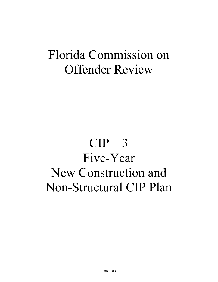## Florida Commission on Offender Review

## $CIP-3$ Five-Year New Construction and Non-Structural CIP Plan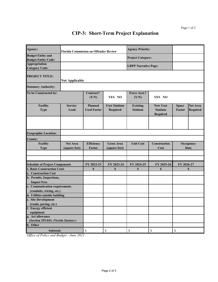## **CIP-3: Short-Term Project Explanation**

| Agency:                                                | <b>Florida Commission on Offender Review</b> |                                      |                                    | <b>Agency Priority:</b>            |                                                       |                               |                                    |  |  |  |
|--------------------------------------------------------|----------------------------------------------|--------------------------------------|------------------------------------|------------------------------------|-------------------------------------------------------|-------------------------------|------------------------------------|--|--|--|
| <b>Budget Entity and</b><br><b>Budget Entity Code:</b> |                                              |                                      |                                    | <b>Project Category:</b>           |                                                       |                               |                                    |  |  |  |
| <b>Appropriation</b><br><b>Category Code:</b>          |                                              |                                      |                                    | <b>LRPP Narrative Page:</b>        |                                                       |                               |                                    |  |  |  |
| <b>PROJECT TITLE:</b>                                  | <b>Not Applicable</b>                        |                                      |                                    |                                    |                                                       |                               |                                    |  |  |  |
| <b>Statutory Authority:</b>                            |                                              |                                      |                                    |                                    |                                                       |                               |                                    |  |  |  |
| To be Constructed by:                                  |                                              | Contract?<br>(Y/N)                   | YES NO                             | Force Acct.?<br>(Y/N)              | YES NO                                                |                               |                                    |  |  |  |
| Facility<br><b>Type</b>                                | <b>Service</b><br>Load                       | <b>Planned</b><br><b>Used Factor</b> | <b>User Stations</b><br>Required   | <b>Existing</b><br><b>Stations</b> | <b>New User</b><br><b>Stations</b><br><b>Required</b> | <b>Space</b><br><b>Factor</b> | <b>Net Area</b><br><b>Required</b> |  |  |  |
|                                                        |                                              |                                      |                                    |                                    |                                                       |                               |                                    |  |  |  |
| <b>Geographic Location:</b>                            |                                              |                                      |                                    |                                    |                                                       |                               |                                    |  |  |  |
| <b>County:</b>                                         |                                              |                                      |                                    |                                    |                                                       |                               |                                    |  |  |  |
| <b>Facility</b><br><b>Type</b>                         | <b>Net Area</b><br>(square feet)             | Efficiency<br>Factor                 | <b>Gross Area</b><br>(square feet) | <b>Unit Cost</b>                   | Construction<br>Cost                                  | Occupancy<br><b>Date</b>      |                                    |  |  |  |
|                                                        |                                              |                                      |                                    |                                    |                                                       |                               |                                    |  |  |  |
| <b>Schedule of Project Components</b>                  |                                              | FY 2022-23                           | FY 2023-24                         | FY 2024-25                         | FY 2025-26                                            | FY 2026-27                    |                                    |  |  |  |
| <b>1. Basic Construction Costs</b>                     |                                              | \$                                   | \$                                 | <b>S</b>                           | \$                                                    | \$                            |                                    |  |  |  |
| a. Construction Cost                                   |                                              |                                      |                                    |                                    |                                                       |                               |                                    |  |  |  |
| b. Permits, Inspections,<br><b>Impact Fees</b>         |                                              |                                      |                                    |                                    |                                                       |                               |                                    |  |  |  |
| c. Communication requirements                          |                                              |                                      |                                    |                                    |                                                       |                               |                                    |  |  |  |
| (conduits, wiring, etc.)                               |                                              |                                      |                                    |                                    |                                                       |                               |                                    |  |  |  |
| d. Utilities outside building                          |                                              |                                      |                                    |                                    |                                                       |                               |                                    |  |  |  |
| e. Site Development                                    |                                              |                                      |                                    |                                    |                                                       |                               |                                    |  |  |  |
| (roads, paving, etc.)                                  |                                              |                                      |                                    |                                    |                                                       |                               |                                    |  |  |  |
| f. Energy efficient<br>equipment                       |                                              |                                      |                                    |                                    |                                                       |                               |                                    |  |  |  |
| g. Art allowance                                       |                                              |                                      |                                    |                                    |                                                       |                               |                                    |  |  |  |
| (Section 255.043, Florida Statutes)                    |                                              |                                      |                                    |                                    |                                                       |                               |                                    |  |  |  |
| h. Other                                               |                                              |                                      |                                    |                                    |                                                       |                               |                                    |  |  |  |
| Subtotal:                                              |                                              | \$                                   | $\$$                               | \$                                 | \$                                                    | \$                            |                                    |  |  |  |
| $\overline{2}$                                         | $\overline{0}$                               |                                      |                                    |                                    |                                                       |                               |                                    |  |  |  |

*Office of Policy and Budget - June 2021*